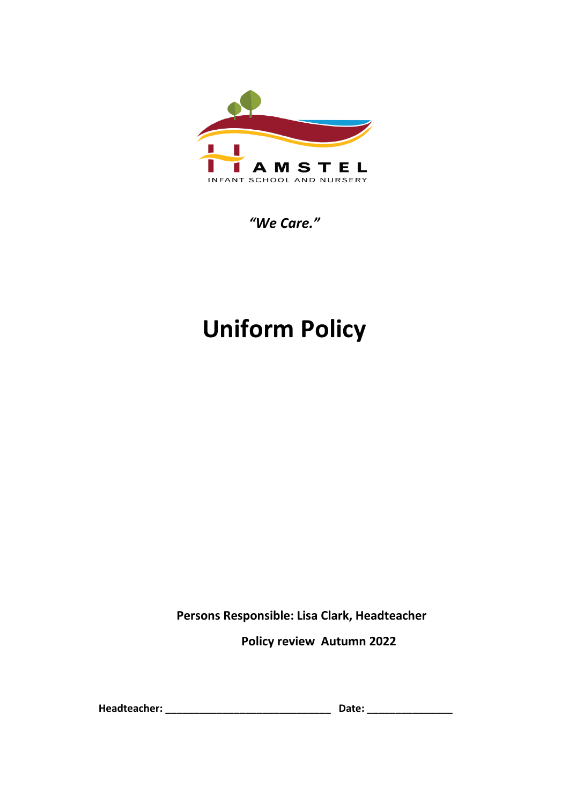

*"We Care."*

# **Uniform Policy**

**Persons Responsible: Lisa Clark, Headteacher**

**Policy review Autumn 2022**

**Headteacher: \_\_\_\_\_\_\_\_\_\_\_\_\_\_\_\_\_\_\_\_\_\_\_\_\_\_\_\_\_ Date: \_\_\_\_\_\_\_\_\_\_\_\_\_\_\_**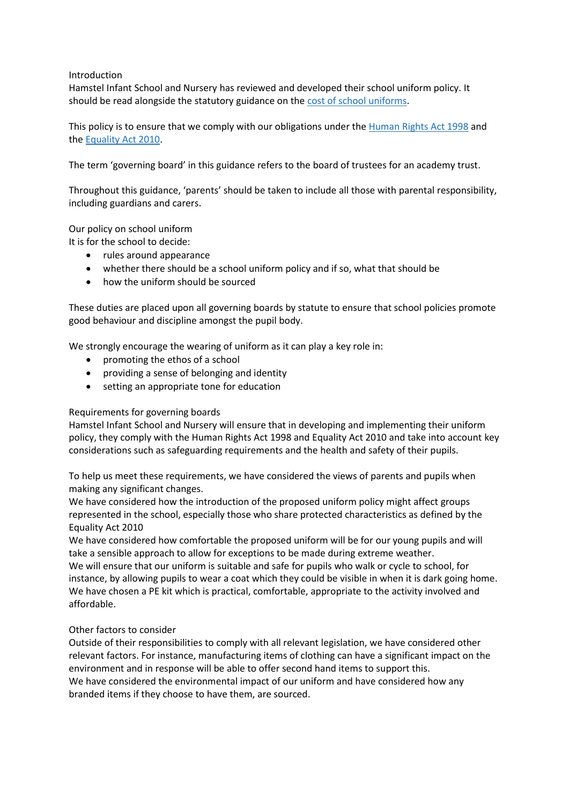# Introduction

Hamstel Infant School and Nursery has reviewed and developed their school uniform policy. It should be read alongside the statutory guidance on the [cost of school uniforms.](https://www.gov.uk/government/publications/cost-of-school-uniforms/cost-of-school-uniforms)

This policy is to ensure that we comply with our obligations under the [Human Rights Act 1998](https://www.legislation.gov.uk/ukpga/1998/42/contents) and the [Equality Act 2010.](https://www.legislation.gov.uk/ukpga/2010/15/contents)

The term 'governing board' in this guidance refers to the board of trustees for an academy trust.

Throughout this guidance, 'parents' should be taken to include all those with parental responsibility, including guardians and carers.

Our policy on school uniform

It is for the school to decide:

- rules around appearance
- whether there should be a school uniform policy and if so, what that should be
- how the uniform should be sourced

These duties are placed upon all governing boards by statute to ensure that school policies promote good behaviour and discipline amongst the pupil body.

We strongly encourage the wearing of uniform as it can play a key role in:

- promoting the ethos of a school
- providing a sense of belonging and identity
- setting an appropriate tone for education

# Requirements for governing boards

Hamstel Infant School and Nursery will ensure that in developing and implementing their uniform policy, they comply with the Human Rights Act 1998 and Equality Act 2010 and take into account key considerations such as safeguarding requirements and the health and safety of their pupils.

To help us meet these requirements, we have considered the views of parents and pupils when making any significant changes.

We have considered how the introduction of the proposed uniform policy might affect groups represented in the school, especially those who share protected characteristics as defined by the Equality Act 2010

We have considered how comfortable the proposed uniform will be for our young pupils and will take a sensible approach to allow for exceptions to be made during extreme weather.

We will ensure that our uniform is suitable and safe for pupils who walk or cycle to school, for instance, by allowing pupils to wear a coat which they could be visible in when it is dark going home. We have chosen a PE kit which is practical, comfortable, appropriate to the activity involved and affordable.

# Other factors to consider

Outside of their responsibilities to comply with all relevant legislation, we have considered other relevant factors. For instance, manufacturing items of clothing can have a significant impact on the environment and in response will be able to offer second hand items to support this. We have considered the environmental impact of our uniform and have considered how any branded items if they choose to have them, are sourced.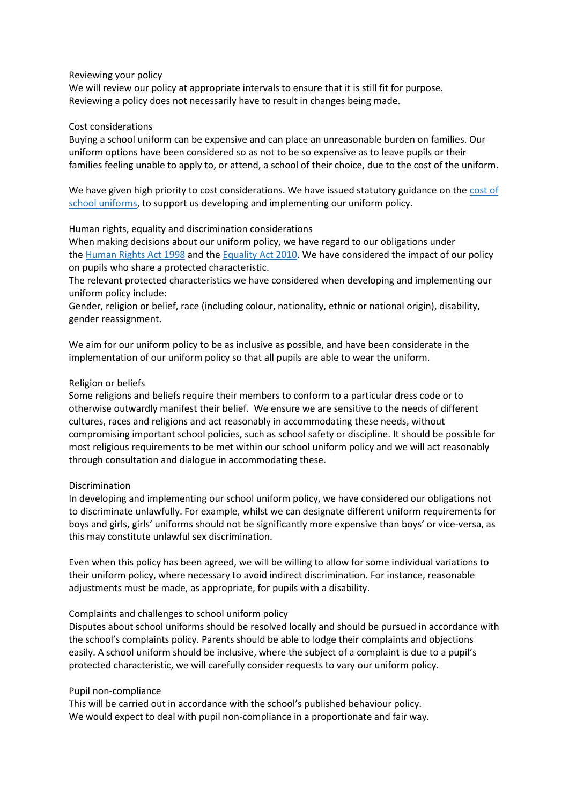#### Reviewing your policy

We will review our policy at appropriate intervals to ensure that it is still fit for purpose. Reviewing a policy does not necessarily have to result in changes being made.

#### Cost considerations

Buying a school uniform can be expensive and can place an unreasonable burden on families. Our uniform options have been considered so as not to be so expensive as to leave pupils or their families feeling unable to apply to, or attend, a school of their choice, due to the cost of the uniform.

We have given high priority to cost considerations. We have issued statutory guidance on the cost of [school uniforms,](https://www.gov.uk/government/publications/cost-of-school-uniforms/cost-of-school-uniforms) to support us developing and implementing our uniform policy.

#### Human rights, equality and discrimination considerations

When making decisions about our uniform policy, we have regard to our obligations under the [Human Rights Act 1998](https://www.legislation.gov.uk/ukpga/1998/42/contents) and the [Equality Act 2010.](https://www.legislation.gov.uk/ukpga/2010/15/contents) We have considered the impact of our policy on pupils who share a protected characteristic.

The relevant protected characteristics we have considered when developing and implementing our uniform policy include:

Gender, religion or belief, race (including colour, nationality, ethnic or national origin), disability, gender reassignment.

We aim for our uniform policy to be as inclusive as possible, and have been considerate in the implementation of our uniform policy so that all pupils are able to wear the uniform.

#### Religion or beliefs

Some religions and beliefs require their members to conform to a particular dress code or to otherwise outwardly manifest their belief. We ensure we are sensitive to the needs of different cultures, races and religions and act reasonably in accommodating these needs, without compromising important school policies, such as school safety or discipline. It should be possible for most religious requirements to be met within our school uniform policy and we will act reasonably through consultation and dialogue in accommodating these.

# Discrimination

In developing and implementing our school uniform policy, we have considered our obligations not to discriminate unlawfully. For example, whilst we can designate different uniform requirements for boys and girls, girls' uniforms should not be significantly more expensive than boys' or vice-versa, as this may constitute unlawful sex discrimination.

Even when this policy has been agreed, we will be willing to allow for some individual variations to their uniform policy, where necessary to avoid indirect discrimination. For instance, reasonable adjustments must be made, as appropriate, for pupils with a disability.

#### Complaints and challenges to school uniform policy

Disputes about school uniforms should be resolved locally and should be pursued in accordance with the school's complaints policy. Parents should be able to lodge their complaints and objections easily. A school uniform should be inclusive, where the subject of a complaint is due to a pupil's protected characteristic, we will carefully consider requests to vary our uniform policy.

#### Pupil non-compliance

This will be carried out in accordance with the school's published behaviour policy. We would expect to deal with pupil non-compliance in a proportionate and fair way.